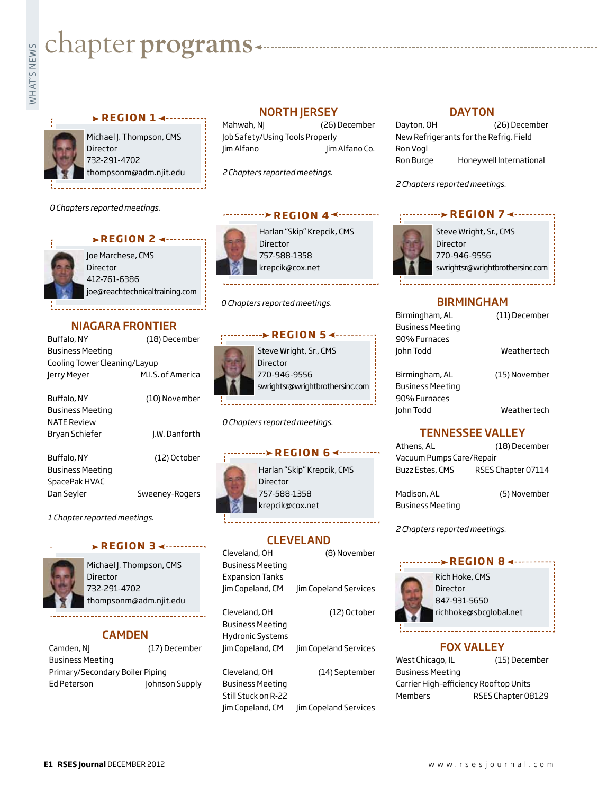# **whater programs**<br>Example:

#### **REGION 1 ← · · · · · · · · ·**



Michael J. Thompson, CMS Director 732-291-4702 thompsonm@adm.njit.edu

*0 Chapters reported meetings.*

#### **r e g i o n 2**

Joe Marchese, CMS Director 412-761-6386 joe@reachtechnicaltraining.com

## NIAGARA FRONTIER

| Buffalo, NY                  | (18) December     |
|------------------------------|-------------------|
| Business Meeting             |                   |
| Cooling Tower Cleaning/Layup |                   |
| Jerry Meyer                  | M.I.S. of America |
|                              |                   |

| Buffalo, NY             | (10) November  |
|-------------------------|----------------|
| <b>Business Meeting</b> |                |
| <b>NATE Review</b>      |                |
| Bryan Schiefer          | J.W. Danforth  |
|                         |                |
| Buffalo, NY             | (12) October   |
| <b>Business Meeting</b> |                |
| SpacePak HVAC           |                |
| Dan Seyler              | Sweeney-Rogers |

*1 Chapter reported meetings.*

#### **REGION 34--------**



Michael J. Thompson, CMS Director 732-291-4702 thompsonm@adm.njit.edu

# CAMDEN

| Camden, NJ                      | (17) December  |
|---------------------------------|----------------|
| <b>Business Meeting</b>         |                |
| Primary/Secondary Boiler Piping |                |
| Ed Peterson                     | Johnson Supply |

# NORTH JERSEY

Mahwah, NJ (26) December Job Safety/Using Tools Properly Jim Alfano Jim Alfano Co.

*2 Chapters reported meetings.*

#### *r* **e REGION** 4<sup>4</sup>

Harlan "Skip" Krepcik, CMS Director 757-588-1358 krepcik@cox.net

*0 Chapters reported meetings.*

#### **REGION 5 <--------**



*0 Chapters reported meetings.*



## CLEVELAND

| Cleveland, OH           | (8) November          |
|-------------------------|-----------------------|
| <b>Business Meeting</b> |                       |
| <b>Expansion Tanks</b>  |                       |
| Jim Copeland, CM        | Jim Copeland Services |
|                         |                       |
| Cleveland, OH           | (12) October          |
| <b>Business Meeting</b> |                       |
| <b>Hydronic Systems</b> |                       |
| Jim Copeland, CM        | Jim Copeland Services |
|                         |                       |
| Cleveland, OH           | (14) September        |
|                         |                       |

Business Meeting Still Stuck on R-22 Jim Copeland, CM Jim Copeland Services

#### **DAYTON**

| Dayton, OH | (26) December                          |
|------------|----------------------------------------|
|            | New Refrigerants for the Refrig. Field |
| Ron Vogl   |                                        |
| Ron Burge  | Honeywell International                |

*2 Chapters reported meetings.*

#### *r* **e de l'alignación 7 < e de l'alignación**



Steve Wright, Sr., CMS Director 770-946-9556 swrightsr@wrightbrothersinc.com

#### BIRMINGHAM

| Birmingham, AL          | (11) December |
|-------------------------|---------------|
| <b>Business Meeting</b> |               |
| 90% Furnaces            |               |
| John Todd               | Weathertech   |
|                         |               |
| Birmingham, AL          | (15) November |
| <b>Business Meeting</b> |               |
| 90% Furnaces            |               |
| John Todd               | Weathertech   |
|                         |               |

## TENNESSEE VALLEY

| Athens, AL               | (18) December      |
|--------------------------|--------------------|
| Vacuum Pumps Care/Repair |                    |
| Buzz Estes, CMS          | RSES Chapter 07114 |

Madison, AL (5) November Business Meeting

*2 Chapters reported meetings.*

#### **REGION 8 <-------**



Rich Hoke, CMS Director 847-931-5650 richhoke@sbcglobal.net

#### FOX VALLEY

West Chicago, IL (15) December Business Meeting Carrier High-efficiency Rooftop Units Members RSES Chapter 08129